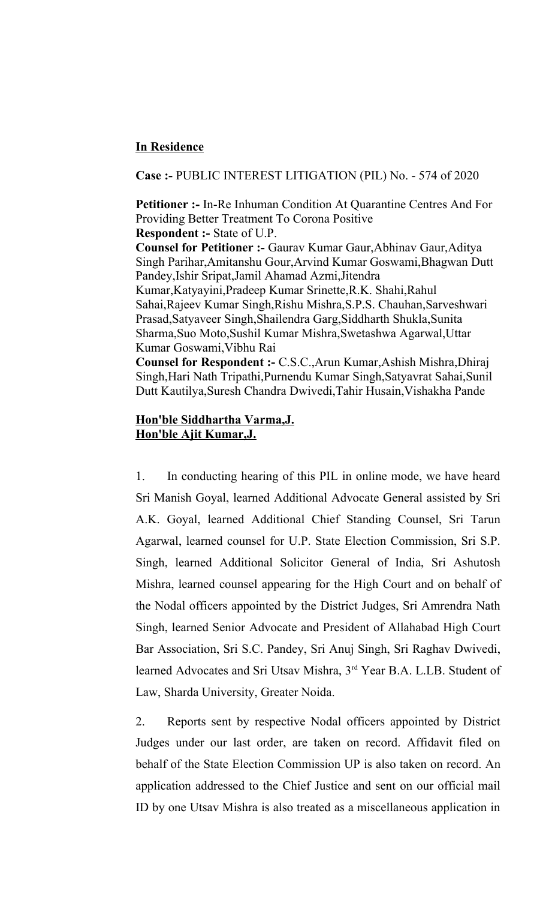## **In Residence**

**Case :-** PUBLIC INTEREST LITIGATION (PIL) No. - 574 of 2020

**Petitioner :-** In-Re Inhuman Condition At Quarantine Centres And For Providing Better Treatment To Corona Positive **Respondent :-** State of U.P.

**Counsel for Petitioner :-** Gaurav Kumar Gaur,Abhinav Gaur,Aditya Singh Parihar,Amitanshu Gour,Arvind Kumar Goswami,Bhagwan Dutt Pandey,Ishir Sripat,Jamil Ahamad Azmi,Jitendra Kumar,Katyayini,Pradeep Kumar Srinette,R.K. Shahi,Rahul Sahai,Rajeev Kumar Singh,Rishu Mishra,S.P.S. Chauhan,Sarveshwari Prasad,Satyaveer Singh,Shailendra Garg,Siddharth Shukla,Sunita Sharma,Suo Moto,Sushil Kumar Mishra,Swetashwa Agarwal,Uttar Kumar Goswami,Vibhu Rai

**Counsel for Respondent :-** C.S.C.,Arun Kumar,Ashish Mishra,Dhiraj Singh,Hari Nath Tripathi,Purnendu Kumar Singh,Satyavrat Sahai,Sunil Dutt Kautilya,Suresh Chandra Dwivedi,Tahir Husain,Vishakha Pande

## **Hon'ble Siddhartha Varma,J. Hon'ble Ajit Kumar,J.**

1. In conducting hearing of this PIL in online mode, we have heard Sri Manish Goyal, learned Additional Advocate General assisted by Sri A.K. Goyal, learned Additional Chief Standing Counsel, Sri Tarun Agarwal, learned counsel for U.P. State Election Commission, Sri S.P. Singh, learned Additional Solicitor General of India, Sri Ashutosh Mishra, learned counsel appearing for the High Court and on behalf of the Nodal officers appointed by the District Judges, Sri Amrendra Nath Singh, learned Senior Advocate and President of Allahabad High Court Bar Association, Sri S.C. Pandey, Sri Anuj Singh, Sri Raghav Dwivedi, learned Advocates and Sri Utsav Mishra, 3rd Year B.A. L.LB. Student of Law, Sharda University, Greater Noida.

2. Reports sent by respective Nodal officers appointed by District Judges under our last order, are taken on record. Affidavit filed on behalf of the State Election Commission UP is also taken on record. An application addressed to the Chief Justice and sent on our official mail ID by one Utsav Mishra is also treated as a miscellaneous application in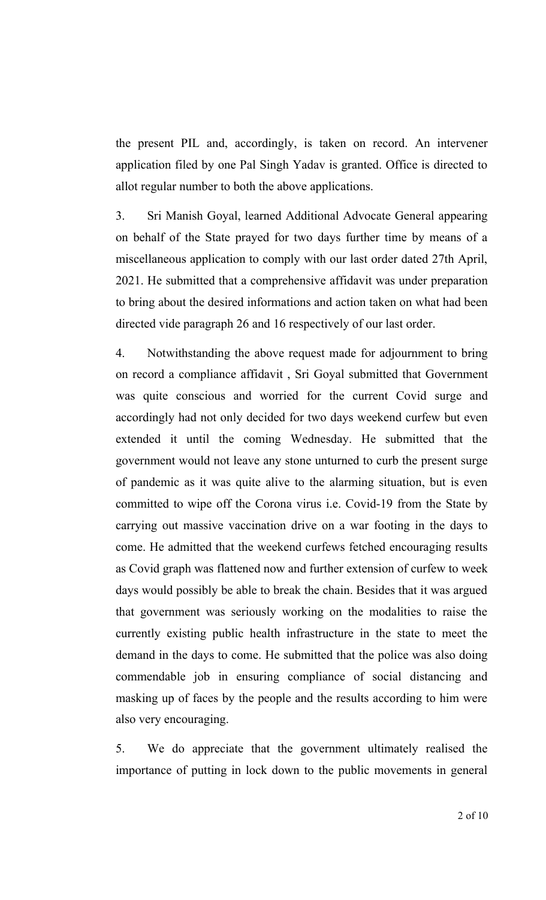the present PIL and, accordingly, is taken on record. An intervener application filed by one Pal Singh Yadav is granted. Office is directed to allot regular number to both the above applications.

3. Sri Manish Goyal, learned Additional Advocate General appearing on behalf of the State prayed for two days further time by means of a miscellaneous application to comply with our last order dated 27th April, 2021. He submitted that a comprehensive affidavit was under preparation to bring about the desired informations and action taken on what had been directed vide paragraph 26 and 16 respectively of our last order.

4. Notwithstanding the above request made for adjournment to bring on record a compliance affidavit , Sri Goyal submitted that Government was quite conscious and worried for the current Covid surge and accordingly had not only decided for two days weekend curfew but even extended it until the coming Wednesday. He submitted that the government would not leave any stone unturned to curb the present surge of pandemic as it was quite alive to the alarming situation, but is even committed to wipe off the Corona virus i.e. Covid-19 from the State by carrying out massive vaccination drive on a war footing in the days to come. He admitted that the weekend curfews fetched encouraging results as Covid graph was flattened now and further extension of curfew to week days would possibly be able to break the chain. Besides that it was argued that government was seriously working on the modalities to raise the currently existing public health infrastructure in the state to meet the demand in the days to come. He submitted that the police was also doing commendable job in ensuring compliance of social distancing and masking up of faces by the people and the results according to him were also very encouraging.

5. We do appreciate that the government ultimately realised the importance of putting in lock down to the public movements in general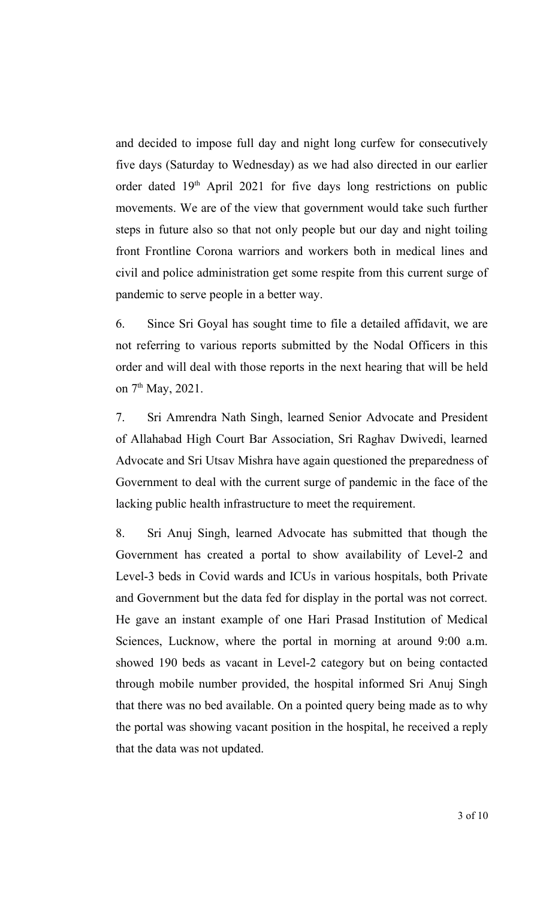and decided to impose full day and night long curfew for consecutively five days (Saturday to Wednesday) as we had also directed in our earlier order dated  $19<sup>th</sup>$  April 2021 for five days long restrictions on public movements. We are of the view that government would take such further steps in future also so that not only people but our day and night toiling front Frontline Corona warriors and workers both in medical lines and civil and police administration get some respite from this current surge of pandemic to serve people in a better way.

6. Since Sri Goyal has sought time to file a detailed affidavit, we are not referring to various reports submitted by the Nodal Officers in this order and will deal with those reports in the next hearing that will be held on  $7<sup>th</sup>$  May, 2021.

7. Sri Amrendra Nath Singh, learned Senior Advocate and President of Allahabad High Court Bar Association, Sri Raghav Dwivedi, learned Advocate and Sri Utsav Mishra have again questioned the preparedness of Government to deal with the current surge of pandemic in the face of the lacking public health infrastructure to meet the requirement.

8. Sri Anuj Singh, learned Advocate has submitted that though the Government has created a portal to show availability of Level-2 and Level-3 beds in Covid wards and ICUs in various hospitals, both Private and Government but the data fed for display in the portal was not correct. He gave an instant example of one Hari Prasad Institution of Medical Sciences, Lucknow, where the portal in morning at around 9:00 a.m. showed 190 beds as vacant in Level-2 category but on being contacted through mobile number provided, the hospital informed Sri Anuj Singh that there was no bed available. On a pointed query being made as to why the portal was showing vacant position in the hospital, he received a reply that the data was not updated.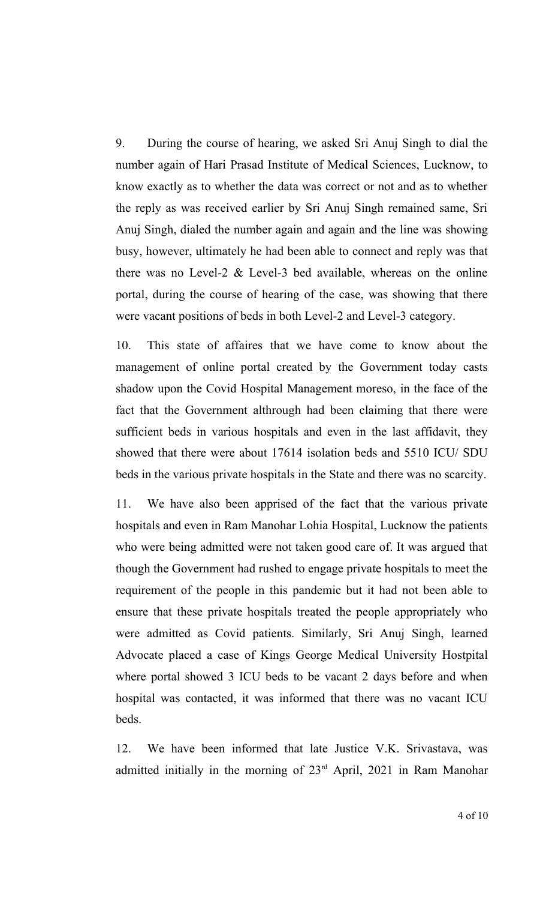9. During the course of hearing, we asked Sri Anuj Singh to dial the number again of Hari Prasad Institute of Medical Sciences, Lucknow, to know exactly as to whether the data was correct or not and as to whether the reply as was received earlier by Sri Anuj Singh remained same, Sri Anuj Singh, dialed the number again and again and the line was showing busy, however, ultimately he had been able to connect and reply was that there was no Level-2 & Level-3 bed available, whereas on the online portal, during the course of hearing of the case, was showing that there were vacant positions of beds in both Level-2 and Level-3 category.

10. This state of affaires that we have come to know about the management of online portal created by the Government today casts shadow upon the Covid Hospital Management moreso, in the face of the fact that the Government althrough had been claiming that there were sufficient beds in various hospitals and even in the last affidavit, they showed that there were about 17614 isolation beds and 5510 ICU/ SDU beds in the various private hospitals in the State and there was no scarcity.

11. We have also been apprised of the fact that the various private hospitals and even in Ram Manohar Lohia Hospital, Lucknow the patients who were being admitted were not taken good care of. It was argued that though the Government had rushed to engage private hospitals to meet the requirement of the people in this pandemic but it had not been able to ensure that these private hospitals treated the people appropriately who were admitted as Covid patients. Similarly, Sri Anuj Singh, learned Advocate placed a case of Kings George Medical University Hostpital where portal showed 3 ICU beds to be vacant 2 days before and when hospital was contacted, it was informed that there was no vacant ICU beds.

12. We have been informed that late Justice V.K. Srivastava, was admitted initially in the morning of 23rd April, 2021 in Ram Manohar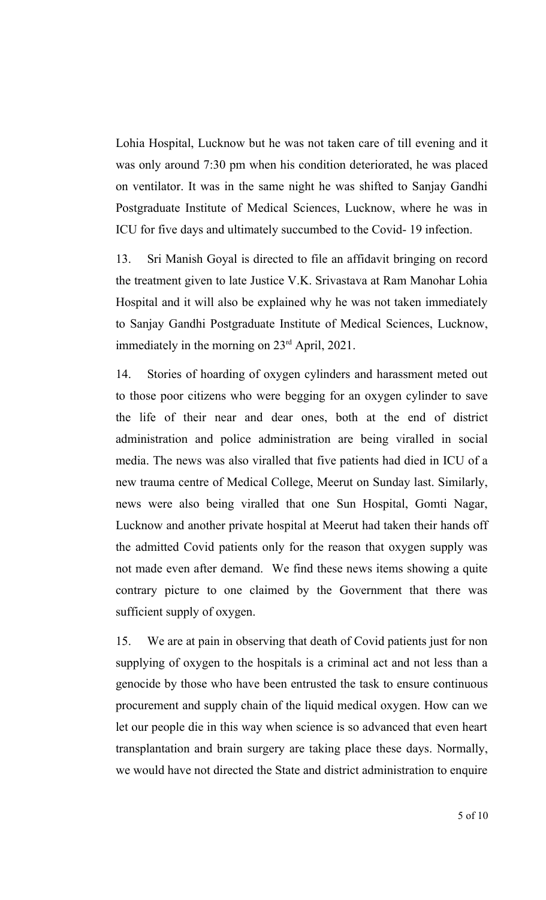Lohia Hospital, Lucknow but he was not taken care of till evening and it was only around 7:30 pm when his condition deteriorated, he was placed on ventilator. It was in the same night he was shifted to Sanjay Gandhi Postgraduate Institute of Medical Sciences, Lucknow, where he was in ICU for five days and ultimately succumbed to the Covid- 19 infection.

13. Sri Manish Goyal is directed to file an affidavit bringing on record the treatment given to late Justice V.K. Srivastava at Ram Manohar Lohia Hospital and it will also be explained why he was not taken immediately to Sanjay Gandhi Postgraduate Institute of Medical Sciences, Lucknow, immediately in the morning on 23<sup>rd</sup> April, 2021.

14. Stories of hoarding of oxygen cylinders and harassment meted out to those poor citizens who were begging for an oxygen cylinder to save the life of their near and dear ones, both at the end of district administration and police administration are being viralled in social media. The news was also viralled that five patients had died in ICU of a new trauma centre of Medical College, Meerut on Sunday last. Similarly, news were also being viralled that one Sun Hospital, Gomti Nagar, Lucknow and another private hospital at Meerut had taken their hands off the admitted Covid patients only for the reason that oxygen supply was not made even after demand. We find these news items showing a quite contrary picture to one claimed by the Government that there was sufficient supply of oxygen.

15. We are at pain in observing that death of Covid patients just for non supplying of oxygen to the hospitals is a criminal act and not less than a genocide by those who have been entrusted the task to ensure continuous procurement and supply chain of the liquid medical oxygen. How can we let our people die in this way when science is so advanced that even heart transplantation and brain surgery are taking place these days. Normally, we would have not directed the State and district administration to enquire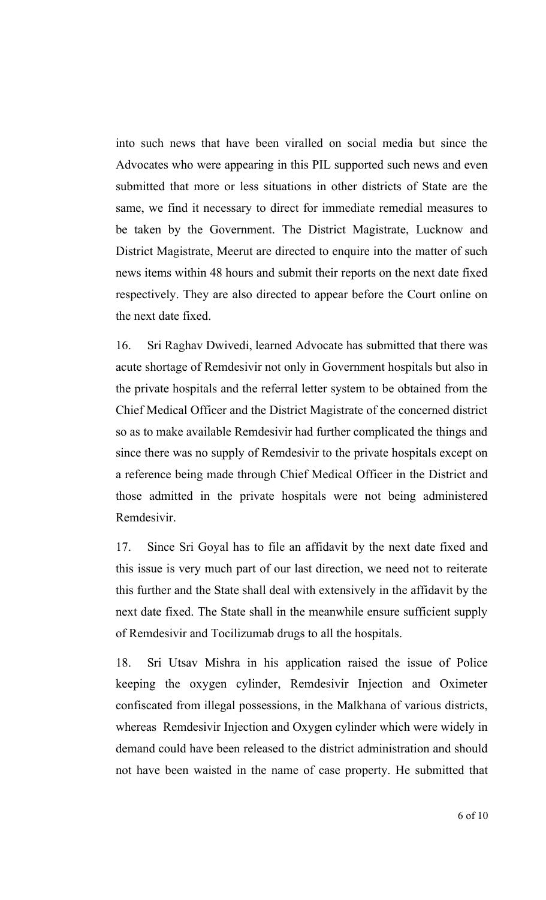into such news that have been viralled on social media but since the Advocates who were appearing in this PIL supported such news and even submitted that more or less situations in other districts of State are the same, we find it necessary to direct for immediate remedial measures to be taken by the Government. The District Magistrate, Lucknow and District Magistrate, Meerut are directed to enquire into the matter of such news items within 48 hours and submit their reports on the next date fixed respectively. They are also directed to appear before the Court online on the next date fixed.

16. Sri Raghav Dwivedi, learned Advocate has submitted that there was acute shortage of Remdesivir not only in Government hospitals but also in the private hospitals and the referral letter system to be obtained from the Chief Medical Officer and the District Magistrate of the concerned district so as to make available Remdesivir had further complicated the things and since there was no supply of Remdesivir to the private hospitals except on a reference being made through Chief Medical Officer in the District and those admitted in the private hospitals were not being administered Remdesivir.

17. Since Sri Goyal has to file an affidavit by the next date fixed and this issue is very much part of our last direction, we need not to reiterate this further and the State shall deal with extensively in the affidavit by the next date fixed. The State shall in the meanwhile ensure sufficient supply of Remdesivir and Tocilizumab drugs to all the hospitals.

18. Sri Utsav Mishra in his application raised the issue of Police keeping the oxygen cylinder, Remdesivir Injection and Oximeter confiscated from illegal possessions, in the Malkhana of various districts, whereas Remdesivir Injection and Oxygen cylinder which were widely in demand could have been released to the district administration and should not have been waisted in the name of case property. He submitted that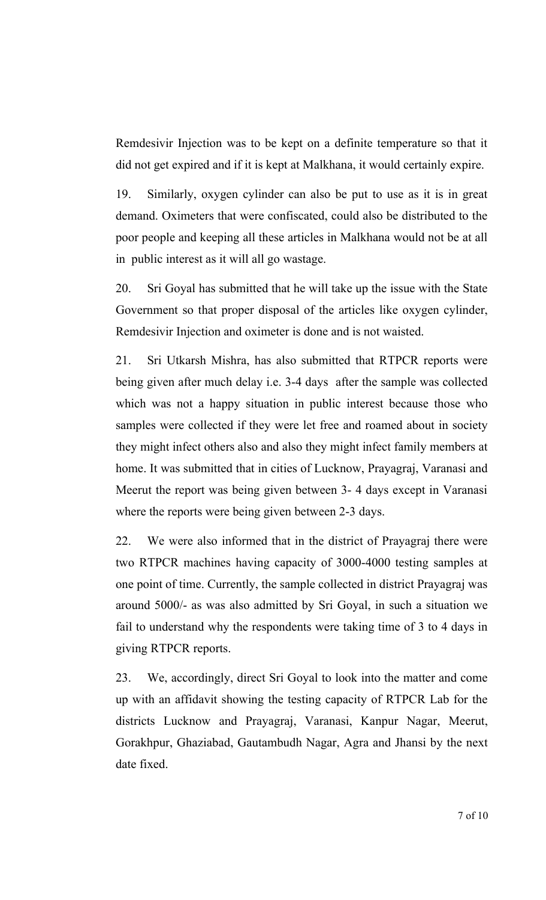Remdesivir Injection was to be kept on a definite temperature so that it did not get expired and if it is kept at Malkhana, it would certainly expire.

19. Similarly, oxygen cylinder can also be put to use as it is in great demand. Oximeters that were confiscated, could also be distributed to the poor people and keeping all these articles in Malkhana would not be at all in public interest as it will all go wastage.

20. Sri Goyal has submitted that he will take up the issue with the State Government so that proper disposal of the articles like oxygen cylinder, Remdesivir Injection and oximeter is done and is not waisted.

21. Sri Utkarsh Mishra, has also submitted that RTPCR reports were being given after much delay i.e. 3-4 days after the sample was collected which was not a happy situation in public interest because those who samples were collected if they were let free and roamed about in society they might infect others also and also they might infect family members at home. It was submitted that in cities of Lucknow, Prayagraj, Varanasi and Meerut the report was being given between 3- 4 days except in Varanasi where the reports were being given between 2-3 days.

22. We were also informed that in the district of Prayagraj there were two RTPCR machines having capacity of 3000-4000 testing samples at one point of time. Currently, the sample collected in district Prayagraj was around 5000/- as was also admitted by Sri Goyal, in such a situation we fail to understand why the respondents were taking time of 3 to 4 days in giving RTPCR reports.

23. We, accordingly, direct Sri Goyal to look into the matter and come up with an affidavit showing the testing capacity of RTPCR Lab for the districts Lucknow and Prayagraj, Varanasi, Kanpur Nagar, Meerut, Gorakhpur, Ghaziabad, Gautambudh Nagar, Agra and Jhansi by the next date fixed.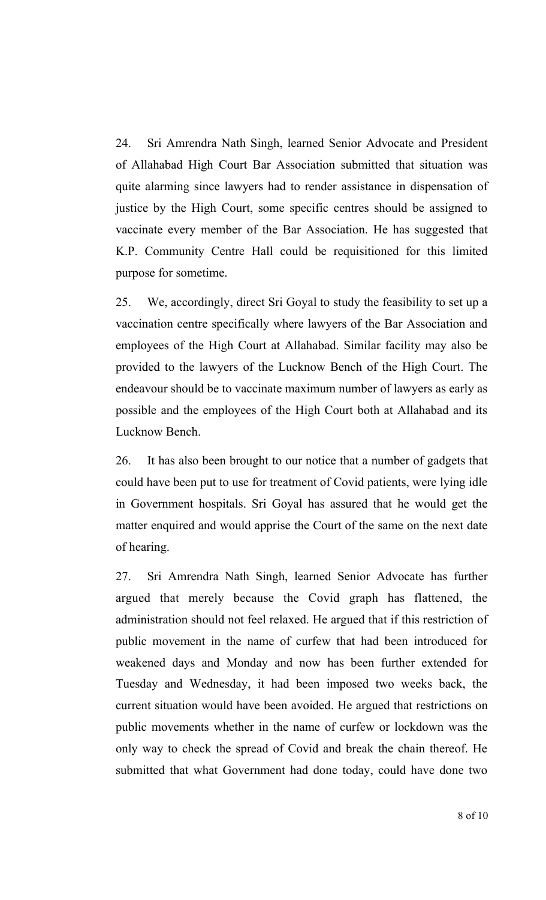24. Sri Amrendra Nath Singh, learned Senior Advocate and President of Allahabad High Court Bar Association submitted that situation was quite alarming since lawyers had to render assistance in dispensation of justice by the High Court, some specific centres should be assigned to vaccinate every member of the Bar Association. He has suggested that K.P. Community Centre Hall could be requisitioned for this limited purpose for sometime.

25. We, accordingly, direct Sri Goyal to study the feasibility to set up a vaccination centre specifically where lawyers of the Bar Association and employees of the High Court at Allahabad. Similar facility may also be provided to the lawyers of the Lucknow Bench of the High Court. The endeavour should be to vaccinate maximum number of lawyers as early as possible and the employees of the High Court both at Allahabad and its Lucknow Bench.

26. It has also been brought to our notice that a number of gadgets that could have been put to use for treatment of Covid patients, were lying idle in Government hospitals. Sri Goyal has assured that he would get the matter enquired and would apprise the Court of the same on the next date of hearing.

27. Sri Amrendra Nath Singh, learned Senior Advocate has further argued that merely because the Covid graph has flattened, the administration should not feel relaxed. He argued that if this restriction of public movement in the name of curfew that had been introduced for weakened days and Monday and now has been further extended for Tuesday and Wednesday, it had been imposed two weeks back, the current situation would have been avoided. He argued that restrictions on public movements whether in the name of curfew or lockdown was the only way to check the spread of Covid and break the chain thereof. He submitted that what Government had done today, could have done two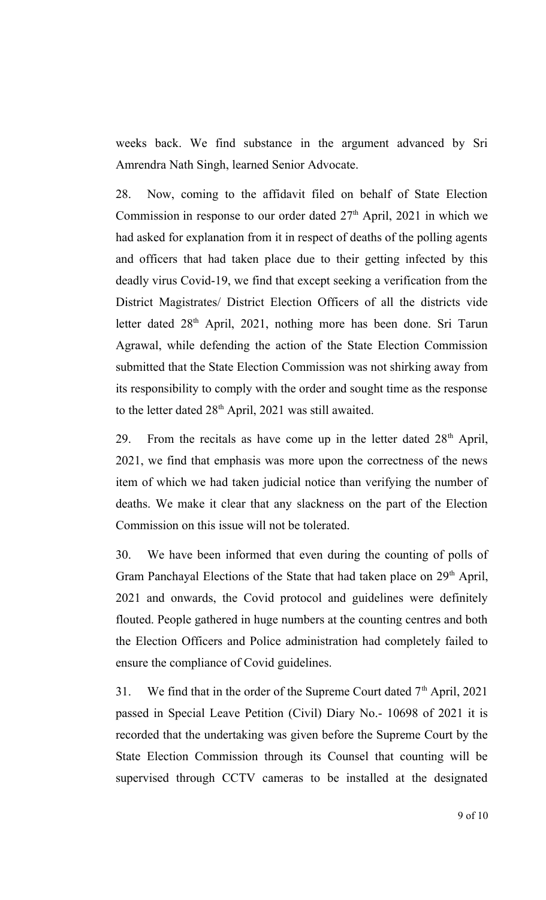weeks back. We find substance in the argument advanced by Sri Amrendra Nath Singh, learned Senior Advocate.

28. Now, coming to the affidavit filed on behalf of State Election Commission in response to our order dated  $27<sup>th</sup>$  April, 2021 in which we had asked for explanation from it in respect of deaths of the polling agents and officers that had taken place due to their getting infected by this deadly virus Covid-19, we find that except seeking a verification from the District Magistrates/ District Election Officers of all the districts vide letter dated 28<sup>th</sup> April, 2021, nothing more has been done. Sri Tarun Agrawal, while defending the action of the State Election Commission submitted that the State Election Commission was not shirking away from its responsibility to comply with the order and sought time as the response to the letter dated  $28<sup>th</sup>$  April, 2021 was still awaited.

29. From the recitals as have come up in the letter dated  $28<sup>th</sup>$  April, 2021, we find that emphasis was more upon the correctness of the news item of which we had taken judicial notice than verifying the number of deaths. We make it clear that any slackness on the part of the Election Commission on this issue will not be tolerated.

30. We have been informed that even during the counting of polls of Gram Panchayal Elections of the State that had taken place on 29<sup>th</sup> April, 2021 and onwards, the Covid protocol and guidelines were definitely flouted. People gathered in huge numbers at the counting centres and both the Election Officers and Police administration had completely failed to ensure the compliance of Covid guidelines.

31. We find that in the order of the Supreme Court dated  $7<sup>th</sup>$  April, 2021 passed in Special Leave Petition (Civil) Diary No.- 10698 of 2021 it is recorded that the undertaking was given before the Supreme Court by the State Election Commission through its Counsel that counting will be supervised through CCTV cameras to be installed at the designated